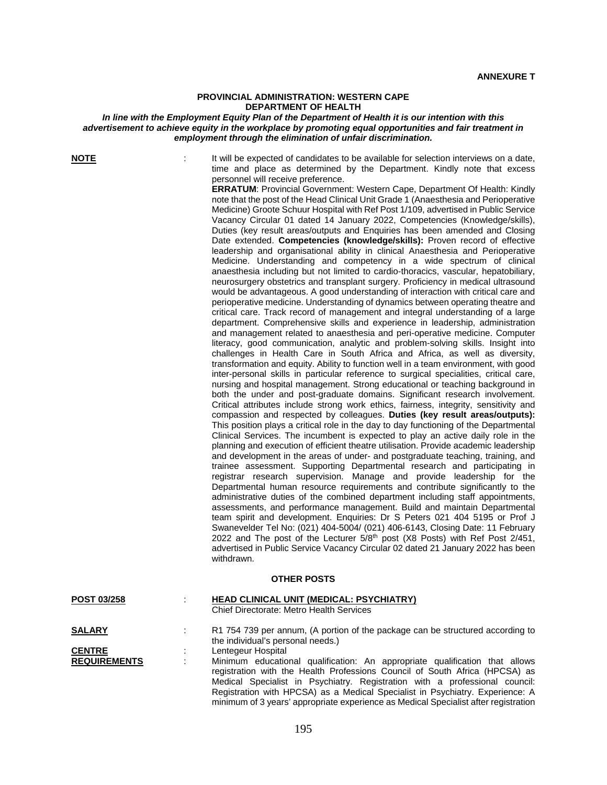## **PROVINCIAL ADMINISTRATION: WESTERN CAPE DEPARTMENT OF HEALTH**

## *In line with the Employment Equity Plan of the Department of Health it is our intention with this advertisement to achieve equity in the workplace by promoting equal opportunities and fair treatment in employment through the elimination of unfair discrimination.*

**NOTE** it will be expected of candidates to be available for selection interviews on a date, time and place as determined by the Department. Kindly note that excess personnel will receive preference.

> **ERRATUM**: Provincial Government: Western Cape, Department Of Health: Kindly note that the post of the Head Clinical Unit Grade 1 (Anaesthesia and Perioperative Medicine) Groote Schuur Hospital with Ref Post 1/109, advertised in Public Service Vacancy Circular 01 dated 14 January 2022, Competencies (Knowledge/skills), Duties (key result areas/outputs and Enquiries has been amended and Closing Date extended. **Competencies (knowledge/skills):** Proven record of effective leadership and organisational ability in clinical Anaesthesia and Perioperative Medicine. Understanding and competency in a wide spectrum of clinical anaesthesia including but not limited to cardio-thoracics, vascular, hepatobiliary, neurosurgery obstetrics and transplant surgery. Proficiency in medical ultrasound would be advantageous. A good understanding of interaction with critical care and perioperative medicine. Understanding of dynamics between operating theatre and critical care. Track record of management and integral understanding of a large department. Comprehensive skills and experience in leadership, administration and management related to anaesthesia and peri-operative medicine. Computer literacy, good communication, analytic and problem-solving skills. Insight into challenges in Health Care in South Africa and Africa, as well as diversity, transformation and equity. Ability to function well in a team environment, with good inter-personal skills in particular reference to surgical specialities, critical care, nursing and hospital management. Strong educational or teaching background in both the under and post-graduate domains. Significant research involvement. Critical attributes include strong work ethics, fairness, integrity, sensitivity and compassion and respected by colleagues. **Duties (key result areas/outputs):** This position plays a critical role in the day to day functioning of the Departmental Clinical Services. The incumbent is expected to play an active daily role in the planning and execution of efficient theatre utilisation. Provide academic leadership and development in the areas of under- and postgraduate teaching, training, and trainee assessment. Supporting Departmental research and participating in registrar research supervision. Manage and provide leadership for the Departmental human resource requirements and contribute significantly to the administrative duties of the combined department including staff appointments, assessments, and performance management. Build and maintain Departmental team spirit and development. Enquiries: Dr S Peters 021 404 5195 or Prof J Swanevelder Tel No: (021) 404-5004/ (021) 406-6143, Closing Date: 11 February 2022 and The post of the Lecturer 5/8<sup>th</sup> post (X8 Posts) with Ref Post 2/451, advertised in Public Service Vacancy Circular 02 dated 21 January 2022 has been withdrawn.

## **OTHER POSTS**

| <b>POST 03/258</b>  | <b>HEAD CLINICAL UNIT (MEDICAL: PSYCHIATRY)</b><br>Chief Directorate: Metro Health Services                                                                                                                                                                                                                                                                                                                       |
|---------------------|-------------------------------------------------------------------------------------------------------------------------------------------------------------------------------------------------------------------------------------------------------------------------------------------------------------------------------------------------------------------------------------------------------------------|
| <b>SALARY</b>       | R1 754 739 per annum, (A portion of the package can be structured according to<br>the individual's personal needs.)                                                                                                                                                                                                                                                                                               |
| <b>CENTRE</b>       | Lentegeur Hospital                                                                                                                                                                                                                                                                                                                                                                                                |
| <b>REQUIREMENTS</b> | Minimum educational qualification: An appropriate qualification that allows<br>registration with the Health Professions Council of South Africa (HPCSA) as<br>Medical Specialist in Psychiatry. Registration with a professional council:<br>Registration with HPCSA) as a Medical Specialist in Psychiatry. Experience: A<br>minimum of 3 years' appropriate experience as Medical Specialist after registration |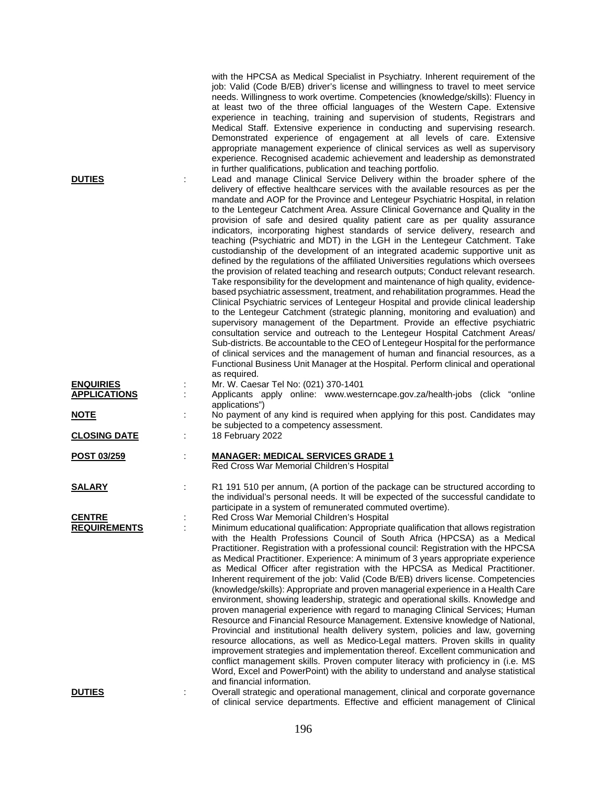| <b>DUTIES</b>                        | with the HPCSA as Medical Specialist in Psychiatry. Inherent requirement of the<br>job: Valid (Code B/EB) driver's license and willingness to travel to meet service<br>needs. Willingness to work overtime. Competencies (knowledge/skills): Fluency in<br>at least two of the three official languages of the Western Cape. Extensive<br>experience in teaching, training and supervision of students, Registrars and<br>Medical Staff. Extensive experience in conducting and supervising research.<br>Demonstrated experience of engagement at all levels of care. Extensive<br>appropriate management experience of clinical services as well as supervisory<br>experience. Recognised academic achievement and leadership as demonstrated<br>in further qualifications, publication and teaching portfolio.<br>Lead and manage Clinical Service Delivery within the broader sphere of the<br>delivery of effective healthcare services with the available resources as per the<br>mandate and AOP for the Province and Lentegeur Psychiatric Hospital, in relation<br>to the Lentegeur Catchment Area. Assure Clinical Governance and Quality in the<br>provision of safe and desired quality patient care as per quality assurance<br>indicators, incorporating highest standards of service delivery, research and<br>teaching (Psychiatric and MDT) in the LGH in the Lentegeur Catchment. Take<br>custodianship of the development of an integrated academic supportive unit as<br>defined by the regulations of the affiliated Universities regulations which oversees<br>the provision of related teaching and research outputs; Conduct relevant research.<br>Take responsibility for the development and maintenance of high quality, evidence-<br>based psychiatric assessment, treatment, and rehabilitation programmes. Head the<br>Clinical Psychiatric services of Lentegeur Hospital and provide clinical leadership<br>to the Lentegeur Catchment (strategic planning, monitoring and evaluation) and<br>supervisory management of the Department. Provide an effective psychiatric<br>consultation service and outreach to the Lentegeur Hospital Catchment Areas/<br>Sub-districts. Be accountable to the CEO of Lentegeur Hospital for the performance<br>of clinical services and the management of human and financial resources, as a<br>Functional Business Unit Manager at the Hospital. Perform clinical and operational<br>as required. |
|--------------------------------------|------------------------------------------------------------------------------------------------------------------------------------------------------------------------------------------------------------------------------------------------------------------------------------------------------------------------------------------------------------------------------------------------------------------------------------------------------------------------------------------------------------------------------------------------------------------------------------------------------------------------------------------------------------------------------------------------------------------------------------------------------------------------------------------------------------------------------------------------------------------------------------------------------------------------------------------------------------------------------------------------------------------------------------------------------------------------------------------------------------------------------------------------------------------------------------------------------------------------------------------------------------------------------------------------------------------------------------------------------------------------------------------------------------------------------------------------------------------------------------------------------------------------------------------------------------------------------------------------------------------------------------------------------------------------------------------------------------------------------------------------------------------------------------------------------------------------------------------------------------------------------------------------------------------------------------------------------------------------------------------------------------------------------------------------------------------------------------------------------------------------------------------------------------------------------------------------------------------------------------------------------------------------------------------------------------------------------------------------------------------------------------------------------------------------------------------------------------------------|
| <b>ENQUIRIES</b>                     | Mr. W. Caesar Tel No: (021) 370-1401                                                                                                                                                                                                                                                                                                                                                                                                                                                                                                                                                                                                                                                                                                                                                                                                                                                                                                                                                                                                                                                                                                                                                                                                                                                                                                                                                                                                                                                                                                                                                                                                                                                                                                                                                                                                                                                                                                                                                                                                                                                                                                                                                                                                                                                                                                                                                                                                                                   |
| <b>APPLICATIONS</b>                  | Applicants apply online: www.westerncape.gov.za/health-jobs (click "online<br>applications")                                                                                                                                                                                                                                                                                                                                                                                                                                                                                                                                                                                                                                                                                                                                                                                                                                                                                                                                                                                                                                                                                                                                                                                                                                                                                                                                                                                                                                                                                                                                                                                                                                                                                                                                                                                                                                                                                                                                                                                                                                                                                                                                                                                                                                                                                                                                                                           |
| <u>NOTE</u>                          | No payment of any kind is required when applying for this post. Candidates may<br>÷<br>be subjected to a competency assessment.                                                                                                                                                                                                                                                                                                                                                                                                                                                                                                                                                                                                                                                                                                                                                                                                                                                                                                                                                                                                                                                                                                                                                                                                                                                                                                                                                                                                                                                                                                                                                                                                                                                                                                                                                                                                                                                                                                                                                                                                                                                                                                                                                                                                                                                                                                                                        |
| <b>CLOSING DATE</b>                  | 18 February 2022                                                                                                                                                                                                                                                                                                                                                                                                                                                                                                                                                                                                                                                                                                                                                                                                                                                                                                                                                                                                                                                                                                                                                                                                                                                                                                                                                                                                                                                                                                                                                                                                                                                                                                                                                                                                                                                                                                                                                                                                                                                                                                                                                                                                                                                                                                                                                                                                                                                       |
| POST 03/259                          | <b>MANAGER: MEDICAL SERVICES GRADE 1</b><br>Red Cross War Memorial Children's Hospital                                                                                                                                                                                                                                                                                                                                                                                                                                                                                                                                                                                                                                                                                                                                                                                                                                                                                                                                                                                                                                                                                                                                                                                                                                                                                                                                                                                                                                                                                                                                                                                                                                                                                                                                                                                                                                                                                                                                                                                                                                                                                                                                                                                                                                                                                                                                                                                 |
| <b>SALARY</b>                        | R1 191 510 per annum, (A portion of the package can be structured according to<br>the individual's personal needs. It will be expected of the successful candidate to<br>participate in a system of remunerated commuted overtime).                                                                                                                                                                                                                                                                                                                                                                                                                                                                                                                                                                                                                                                                                                                                                                                                                                                                                                                                                                                                                                                                                                                                                                                                                                                                                                                                                                                                                                                                                                                                                                                                                                                                                                                                                                                                                                                                                                                                                                                                                                                                                                                                                                                                                                    |
| <b>CENTRE</b><br><b>REQUIREMENTS</b> | Red Cross War Memorial Children's Hospital<br>Minimum educational qualification: Appropriate qualification that allows registration<br>with the Health Professions Council of South Africa (HPCSA) as a Medical<br>Practitioner. Registration with a professional council: Registration with the HPCSA<br>as Medical Practitioner. Experience: A minimum of 3 years appropriate experience<br>as Medical Officer after registration with the HPCSA as Medical Practitioner.<br>Inherent requirement of the job: Valid (Code B/EB) drivers license. Competencies<br>(knowledge/skills): Appropriate and proven managerial experience in a Health Care<br>environment, showing leadership, strategic and operational skills. Knowledge and<br>proven managerial experience with regard to managing Clinical Services; Human<br>Resource and Financial Resource Management. Extensive knowledge of National,<br>Provincial and institutional health delivery system, policies and law, governing<br>resource allocations, as well as Medico-Legal matters. Proven skills in quality<br>improvement strategies and implementation thereof. Excellent communication and<br>conflict management skills. Proven computer literacy with proficiency in (i.e. MS<br>Word, Excel and PowerPoint) with the ability to understand and analyse statistical                                                                                                                                                                                                                                                                                                                                                                                                                                                                                                                                                                                                                                                                                                                                                                                                                                                                                                                                                                                                                                                                                                                          |
| <b>DUTIES</b>                        | and financial information.<br>Overall strategic and operational management, clinical and corporate governance<br>of clinical service departments. Effective and efficient management of Clinical                                                                                                                                                                                                                                                                                                                                                                                                                                                                                                                                                                                                                                                                                                                                                                                                                                                                                                                                                                                                                                                                                                                                                                                                                                                                                                                                                                                                                                                                                                                                                                                                                                                                                                                                                                                                                                                                                                                                                                                                                                                                                                                                                                                                                                                                       |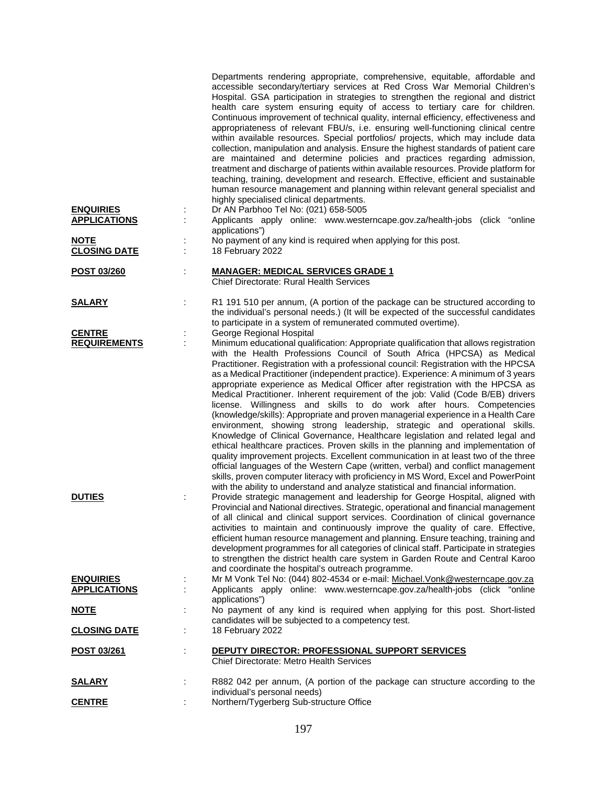| <b>ENQUIRIES</b><br><b>APPLICATIONS</b> | Departments rendering appropriate, comprehensive, equitable, affordable and<br>accessible secondary/tertiary services at Red Cross War Memorial Children's<br>Hospital. GSA participation in strategies to strengthen the regional and district<br>health care system ensuring equity of access to tertiary care for children.<br>Continuous improvement of technical quality, internal efficiency, effectiveness and<br>appropriateness of relevant FBU/s, i.e. ensuring well-functioning clinical centre<br>within available resources. Special portfolios/ projects, which may include data<br>collection, manipulation and analysis. Ensure the highest standards of patient care<br>are maintained and determine policies and practices regarding admission,<br>treatment and discharge of patients within available resources. Provide platform for<br>teaching, training, development and research. Effective, efficient and sustainable<br>human resource management and planning within relevant general specialist and<br>highly specialised clinical departments.<br>Dr AN Parbhoo Tel No: (021) 658-5005<br>Applicants apply online: www.westerncape.gov.za/health-jobs (click "online<br>applications")                                                                                                 |
|-----------------------------------------|----------------------------------------------------------------------------------------------------------------------------------------------------------------------------------------------------------------------------------------------------------------------------------------------------------------------------------------------------------------------------------------------------------------------------------------------------------------------------------------------------------------------------------------------------------------------------------------------------------------------------------------------------------------------------------------------------------------------------------------------------------------------------------------------------------------------------------------------------------------------------------------------------------------------------------------------------------------------------------------------------------------------------------------------------------------------------------------------------------------------------------------------------------------------------------------------------------------------------------------------------------------------------------------------------------------------|
| <b>NOTE</b><br><b>CLOSING DATE</b>      | No payment of any kind is required when applying for this post.<br>18 February 2022                                                                                                                                                                                                                                                                                                                                                                                                                                                                                                                                                                                                                                                                                                                                                                                                                                                                                                                                                                                                                                                                                                                                                                                                                                  |
| POST 03/260                             | <b>MANAGER: MEDICAL SERVICES GRADE 1</b><br>Chief Directorate: Rural Health Services                                                                                                                                                                                                                                                                                                                                                                                                                                                                                                                                                                                                                                                                                                                                                                                                                                                                                                                                                                                                                                                                                                                                                                                                                                 |
| <b>SALARY</b>                           | R1 191 510 per annum, (A portion of the package can be structured according to<br>the individual's personal needs.) (It will be expected of the successful candidates<br>to participate in a system of remunerated commuted overtime).                                                                                                                                                                                                                                                                                                                                                                                                                                                                                                                                                                                                                                                                                                                                                                                                                                                                                                                                                                                                                                                                               |
| <b>CENTRE</b><br><b>REQUIREMENTS</b>    | George Regional Hospital<br>Minimum educational qualification: Appropriate qualification that allows registration<br>with the Health Professions Council of South Africa (HPCSA) as Medical<br>Practitioner. Registration with a professional council: Registration with the HPCSA<br>as a Medical Practitioner (independent practice). Experience: A minimum of 3 years<br>appropriate experience as Medical Officer after registration with the HPCSA as<br>Medical Practitioner. Inherent requirement of the job: Valid (Code B/EB) drivers<br>license. Willingness and skills to do work after hours. Competencies<br>(knowledge/skills): Appropriate and proven managerial experience in a Health Care<br>environment, showing strong leadership, strategic and operational skills.<br>Knowledge of Clinical Governance, Healthcare legislation and related legal and<br>ethical healthcare practices. Proven skills in the planning and implementation of<br>quality improvement projects. Excellent communication in at least two of the three<br>official languages of the Western Cape (written, verbal) and conflict management<br>skills, proven computer literacy with proficiency in MS Word, Excel and PowerPoint<br>with the ability to understand and analyze statistical and financial information. |
| <b>DUTIES</b>                           | Provide strategic management and leadership for George Hospital, aligned with<br>Provincial and National directives. Strategic, operational and financial management<br>of all clinical and clinical support services. Coordination of clinical governance<br>activities to maintain and continuously improve the quality of care. Effective,<br>efficient human resource management and planning. Ensure teaching, training and<br>development programmes for all categories of clinical staff. Participate in strategies<br>to strengthen the district health care system in Garden Route and Central Karoo<br>and coordinate the hospital's outreach programme.                                                                                                                                                                                                                                                                                                                                                                                                                                                                                                                                                                                                                                                   |
| <b>ENQUIRIES</b><br><b>APPLICATIONS</b> | Mr M Vonk Tel No: (044) 802-4534 or e-mail: Michael. Vonk@westerncape.gov.za<br>Applicants apply online: www.westerncape.gov.za/health-jobs (click "online                                                                                                                                                                                                                                                                                                                                                                                                                                                                                                                                                                                                                                                                                                                                                                                                                                                                                                                                                                                                                                                                                                                                                           |
| <u>NOTE</u>                             | applications")<br>No payment of any kind is required when applying for this post. Short-listed                                                                                                                                                                                                                                                                                                                                                                                                                                                                                                                                                                                                                                                                                                                                                                                                                                                                                                                                                                                                                                                                                                                                                                                                                       |
| <b>CLOSING DATE</b>                     | candidates will be subjected to a competency test.<br>18 February 2022                                                                                                                                                                                                                                                                                                                                                                                                                                                                                                                                                                                                                                                                                                                                                                                                                                                                                                                                                                                                                                                                                                                                                                                                                                               |
| <u>POST 03/261</u>                      | DEPUTY DIRECTOR: PROFESSIONAL SUPPORT SERVICES<br><b>Chief Directorate: Metro Health Services</b>                                                                                                                                                                                                                                                                                                                                                                                                                                                                                                                                                                                                                                                                                                                                                                                                                                                                                                                                                                                                                                                                                                                                                                                                                    |
| <u>SALARY</u>                           | R882 042 per annum, (A portion of the package can structure according to the                                                                                                                                                                                                                                                                                                                                                                                                                                                                                                                                                                                                                                                                                                                                                                                                                                                                                                                                                                                                                                                                                                                                                                                                                                         |
| <b>CENTRE</b>                           | individual's personal needs)<br>Northern/Tygerberg Sub-structure Office                                                                                                                                                                                                                                                                                                                                                                                                                                                                                                                                                                                                                                                                                                                                                                                                                                                                                                                                                                                                                                                                                                                                                                                                                                              |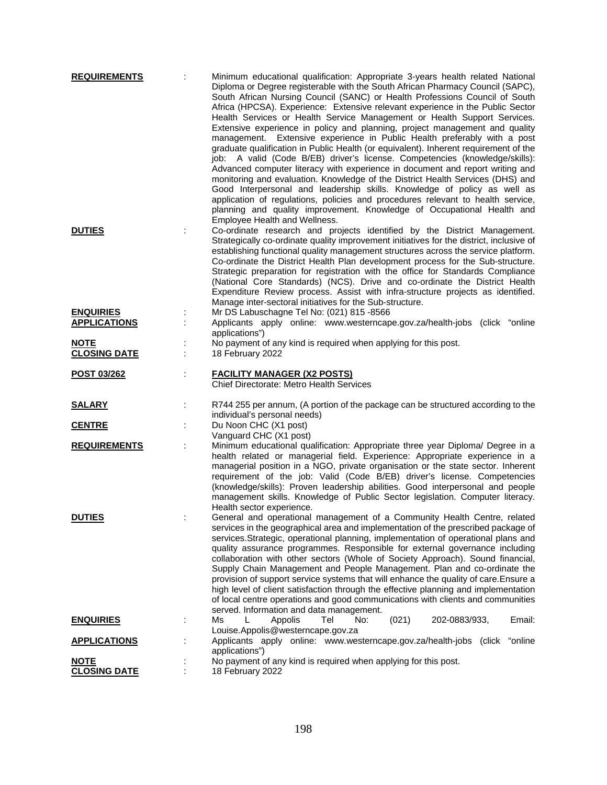| <b>REQUIREMENTS</b>                     | Minimum educational qualification: Appropriate 3-years health related National<br>Diploma or Degree registerable with the South African Pharmacy Council (SAPC),<br>South African Nursing Council (SANC) or Health Professions Council of South<br>Africa (HPCSA). Experience: Extensive relevant experience in the Public Sector<br>Health Services or Health Service Management or Health Support Services.<br>Extensive experience in policy and planning, project management and quality<br>management. Extensive experience in Public Health preferably with a post<br>graduate qualification in Public Health (or equivalent). Inherent requirement of the<br>job: A valid (Code B/EB) driver's license. Competencies (knowledge/skills):<br>Advanced computer literacy with experience in document and report writing and<br>monitoring and evaluation. Knowledge of the District Health Services (DHS) and<br>Good Interpersonal and leadership skills. Knowledge of policy as well as<br>application of regulations, policies and procedures relevant to health service,<br>planning and quality improvement. Knowledge of Occupational Health and<br>Employee Health and Wellness. |
|-----------------------------------------|----------------------------------------------------------------------------------------------------------------------------------------------------------------------------------------------------------------------------------------------------------------------------------------------------------------------------------------------------------------------------------------------------------------------------------------------------------------------------------------------------------------------------------------------------------------------------------------------------------------------------------------------------------------------------------------------------------------------------------------------------------------------------------------------------------------------------------------------------------------------------------------------------------------------------------------------------------------------------------------------------------------------------------------------------------------------------------------------------------------------------------------------------------------------------------------------|
| <b>DUTIES</b>                           | Co-ordinate research and projects identified by the District Management.<br>Strategically co-ordinate quality improvement initiatives for the district, inclusive of<br>establishing functional quality management structures across the service platform.<br>Co-ordinate the District Health Plan development process for the Sub-structure.<br>Strategic preparation for registration with the office for Standards Compliance<br>(National Core Standards) (NCS). Drive and co-ordinate the District Health<br>Expenditure Review process. Assist with infra-structure projects as identified.<br>Manage inter-sectoral initiatives for the Sub-structure.                                                                                                                                                                                                                                                                                                                                                                                                                                                                                                                                |
| <b>ENQUIRIES</b><br><b>APPLICATIONS</b> | Mr DS Labuschagne Tel No: (021) 815 -8566<br>Applicants apply online: www.westerncape.gov.za/health-jobs (click "online<br>applications")                                                                                                                                                                                                                                                                                                                                                                                                                                                                                                                                                                                                                                                                                                                                                                                                                                                                                                                                                                                                                                                    |
| <b>NOTE</b><br><b>CLOSING DATE</b>      | No payment of any kind is required when applying for this post.<br>18 February 2022                                                                                                                                                                                                                                                                                                                                                                                                                                                                                                                                                                                                                                                                                                                                                                                                                                                                                                                                                                                                                                                                                                          |
| <b>POST 03/262</b>                      | <b>FACILITY MANAGER (X2 POSTS)</b><br><b>Chief Directorate: Metro Health Services</b>                                                                                                                                                                                                                                                                                                                                                                                                                                                                                                                                                                                                                                                                                                                                                                                                                                                                                                                                                                                                                                                                                                        |
| <b>SALARY</b>                           | R744 255 per annum, (A portion of the package can be structured according to the                                                                                                                                                                                                                                                                                                                                                                                                                                                                                                                                                                                                                                                                                                                                                                                                                                                                                                                                                                                                                                                                                                             |
| <b>CENTRE</b>                           | individual's personal needs)<br>Du Noon CHC (X1 post)<br>Vanguard CHC (X1 post)                                                                                                                                                                                                                                                                                                                                                                                                                                                                                                                                                                                                                                                                                                                                                                                                                                                                                                                                                                                                                                                                                                              |
| <b>REQUIREMENTS</b>                     | Minimum educational qualification: Appropriate three year Diploma/ Degree in a<br>health related or managerial field. Experience: Appropriate experience in a<br>managerial position in a NGO, private organisation or the state sector. Inherent<br>requirement of the job: Valid (Code B/EB) driver's license. Competencies<br>(knowledge/skills): Proven leadership abilities. Good interpersonal and people<br>management skills. Knowledge of Public Sector legislation. Computer literacy.<br>Health sector experience.                                                                                                                                                                                                                                                                                                                                                                                                                                                                                                                                                                                                                                                                |
| <b>DUTIES</b>                           | General and operational management of a Community Health Centre, related<br>services in the geographical area and implementation of the prescribed package of<br>services. Strategic, operational planning, implementation of operational plans and<br>quality assurance programmes. Responsible for external governance including<br>collaboration with other sectors (Whole of Society Approach). Sound financial,<br>Supply Chain Management and People Management. Plan and co-ordinate the<br>provision of support service systems that will enhance the quality of care. Ensure a<br>high level of client satisfaction through the effective planning and implementation<br>of local centre operations and good communications with clients and communities<br>served. Information and data management.                                                                                                                                                                                                                                                                                                                                                                                |
| <b>ENQUIRIES</b>                        | Ms<br>Appolis<br>Tel<br>202-0883/933,<br>Email:<br>L<br>No:<br>(021)<br>Louise.Appolis@westerncape.gov.za                                                                                                                                                                                                                                                                                                                                                                                                                                                                                                                                                                                                                                                                                                                                                                                                                                                                                                                                                                                                                                                                                    |
| <b>APPLICATIONS</b>                     | Applicants apply online: www.westerncape.gov.za/health-jobs (click<br>"online<br>applications")                                                                                                                                                                                                                                                                                                                                                                                                                                                                                                                                                                                                                                                                                                                                                                                                                                                                                                                                                                                                                                                                                              |
| <b>NOTE</b><br><b>CLOSING DATE</b>      | No payment of any kind is required when applying for this post.<br>18 February 2022                                                                                                                                                                                                                                                                                                                                                                                                                                                                                                                                                                                                                                                                                                                                                                                                                                                                                                                                                                                                                                                                                                          |
|                                         |                                                                                                                                                                                                                                                                                                                                                                                                                                                                                                                                                                                                                                                                                                                                                                                                                                                                                                                                                                                                                                                                                                                                                                                              |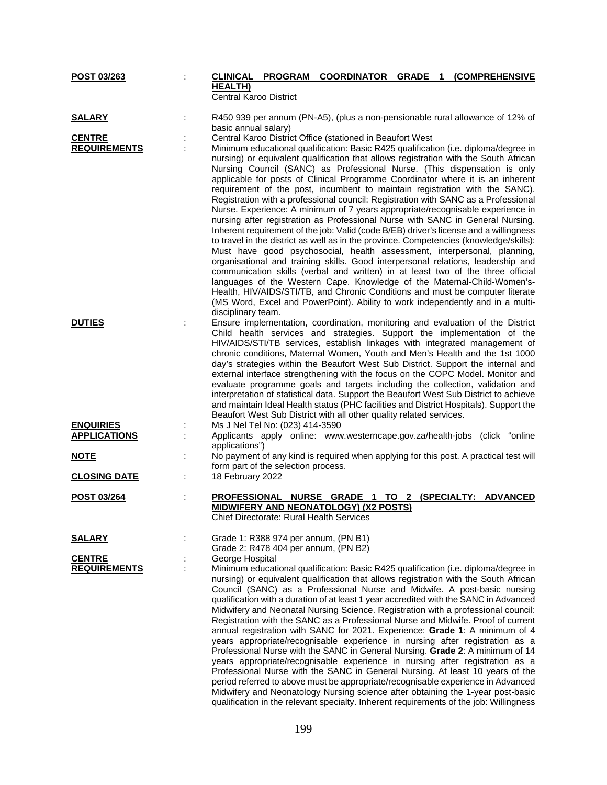| POST 03/263                             |                                                 |                                                                              | CLINICAL PROGRAM COORDINATOR GRADE 1 (COMPREHENSIVE                                                                                                                                                                                                                                                                                                                                                                                                                                                                                                                                                                                                                                                                                                                                                                                                                                                                                                                                                                                                                                                                                                                                                                                                                                  |  |  |
|-----------------------------------------|-------------------------------------------------|------------------------------------------------------------------------------|--------------------------------------------------------------------------------------------------------------------------------------------------------------------------------------------------------------------------------------------------------------------------------------------------------------------------------------------------------------------------------------------------------------------------------------------------------------------------------------------------------------------------------------------------------------------------------------------------------------------------------------------------------------------------------------------------------------------------------------------------------------------------------------------------------------------------------------------------------------------------------------------------------------------------------------------------------------------------------------------------------------------------------------------------------------------------------------------------------------------------------------------------------------------------------------------------------------------------------------------------------------------------------------|--|--|
|                                         | <b>HEALTH)</b><br><b>Central Karoo District</b> |                                                                              |                                                                                                                                                                                                                                                                                                                                                                                                                                                                                                                                                                                                                                                                                                                                                                                                                                                                                                                                                                                                                                                                                                                                                                                                                                                                                      |  |  |
| <b>SALARY</b>                           | basic annual salary)                            |                                                                              | R450 939 per annum (PN-A5), (plus a non-pensionable rural allowance of 12% of                                                                                                                                                                                                                                                                                                                                                                                                                                                                                                                                                                                                                                                                                                                                                                                                                                                                                                                                                                                                                                                                                                                                                                                                        |  |  |
| <b>CENTRE</b>                           |                                                 |                                                                              | Central Karoo District Office (stationed in Beaufort West                                                                                                                                                                                                                                                                                                                                                                                                                                                                                                                                                                                                                                                                                                                                                                                                                                                                                                                                                                                                                                                                                                                                                                                                                            |  |  |
| <b>REQUIREMENTS</b>                     |                                                 |                                                                              | Minimum educational qualification: Basic R425 qualification (i.e. diploma/degree in<br>nursing) or equivalent qualification that allows registration with the South African<br>Nursing Council (SANC) as Professional Nurse. (This dispensation is only<br>applicable for posts of Clinical Programme Coordinator where it is an inherent<br>requirement of the post, incumbent to maintain registration with the SANC).<br>Registration with a professional council: Registration with SANC as a Professional<br>Nurse. Experience: A minimum of 7 years appropriate/recognisable experience in<br>nursing after registration as Professional Nurse with SANC in General Nursing.<br>Inherent requirement of the job: Valid (code B/EB) driver's license and a willingness<br>to travel in the district as well as in the province. Competencies (knowledge/skills):<br>Must have good psychosocial, health assessment, interpersonal, planning,<br>organisational and training skills. Good interpersonal relations, leadership and<br>communication skills (verbal and written) in at least two of the three official<br>languages of the Western Cape. Knowledge of the Maternal-Child-Women's-<br>Health, HIV/AIDS/STI/TB, and Chronic Conditions and must be computer literate |  |  |
|                                         |                                                 |                                                                              | (MS Word, Excel and PowerPoint). Ability to work independently and in a multi-                                                                                                                                                                                                                                                                                                                                                                                                                                                                                                                                                                                                                                                                                                                                                                                                                                                                                                                                                                                                                                                                                                                                                                                                       |  |  |
| <b>DUTIES</b>                           | disciplinary team.                              |                                                                              | Ensure implementation, coordination, monitoring and evaluation of the District<br>Child health services and strategies. Support the implementation of the<br>HIV/AIDS/STI/TB services, establish linkages with integrated management of<br>chronic conditions, Maternal Women, Youth and Men's Health and the 1st 1000<br>day's strategies within the Beaufort West Sub District. Support the internal and<br>external interface strengthening with the focus on the COPC Model. Monitor and<br>evaluate programme goals and targets including the collection, validation and<br>interpretation of statistical data. Support the Beaufort West Sub District to achieve<br>and maintain Ideal Health status (PHC facilities and District Hospitals). Support the<br>Beaufort West Sub District with all other quality related services.                                                                                                                                                                                                                                                                                                                                                                                                                                               |  |  |
|                                         |                                                 |                                                                              |                                                                                                                                                                                                                                                                                                                                                                                                                                                                                                                                                                                                                                                                                                                                                                                                                                                                                                                                                                                                                                                                                                                                                                                                                                                                                      |  |  |
| <b>ENQUIRIES</b><br><b>APPLICATIONS</b> | applications")                                  | Ms J Nel Tel No: (023) 414-3590                                              | Applicants apply online: www.westerncape.gov.za/health-jobs (click "online                                                                                                                                                                                                                                                                                                                                                                                                                                                                                                                                                                                                                                                                                                                                                                                                                                                                                                                                                                                                                                                                                                                                                                                                           |  |  |
| <b>NOTE</b>                             |                                                 | form part of the selection process.                                          | No payment of any kind is required when applying for this post. A practical test will                                                                                                                                                                                                                                                                                                                                                                                                                                                                                                                                                                                                                                                                                                                                                                                                                                                                                                                                                                                                                                                                                                                                                                                                |  |  |
| <b>CLOSING DATE</b>                     | 18 February 2022                                |                                                                              |                                                                                                                                                                                                                                                                                                                                                                                                                                                                                                                                                                                                                                                                                                                                                                                                                                                                                                                                                                                                                                                                                                                                                                                                                                                                                      |  |  |
| POST 03/264                             | PROFESSIONAL                                    | Chief Directorate: Rural Health Services                                     | NURSE GRADE 1 TO 2 (SPECIALTY: ADVANCED<br>MIDWIFERY AND NEONATOLOGY) (X2 POSTS)                                                                                                                                                                                                                                                                                                                                                                                                                                                                                                                                                                                                                                                                                                                                                                                                                                                                                                                                                                                                                                                                                                                                                                                                     |  |  |
| <b>SALARY</b>                           |                                                 | Grade 1: R388 974 per annum, (PN B1)<br>Grade 2: R478 404 per annum, (PN B2) |                                                                                                                                                                                                                                                                                                                                                                                                                                                                                                                                                                                                                                                                                                                                                                                                                                                                                                                                                                                                                                                                                                                                                                                                                                                                                      |  |  |
| <b>CENTRE</b><br><b>REQUIREMENTS</b>    | George Hospital                                 |                                                                              | Minimum educational qualification: Basic R425 qualification (i.e. diploma/degree in<br>nursing) or equivalent qualification that allows registration with the South African<br>Council (SANC) as a Professional Nurse and Midwife. A post-basic nursing<br>qualification with a duration of at least 1 year accredited with the SANC in Advanced<br>Midwifery and Neonatal Nursing Science. Registration with a professional council:<br>Registration with the SANC as a Professional Nurse and Midwife. Proof of current<br>annual registration with SANC for 2021. Experience: Grade 1: A minimum of 4<br>years appropriate/recognisable experience in nursing after registration as a<br>Professional Nurse with the SANC in General Nursing. Grade 2: A minimum of 14<br>years appropriate/recognisable experience in nursing after registration as a<br>Professional Nurse with the SANC in General Nursing. At least 10 years of the<br>period referred to above must be appropriate/recognisable experience in Advanced<br>Midwifery and Neonatology Nursing science after obtaining the 1-year post-basic<br>qualification in the relevant specialty. Inherent requirements of the job: Willingness                                                                          |  |  |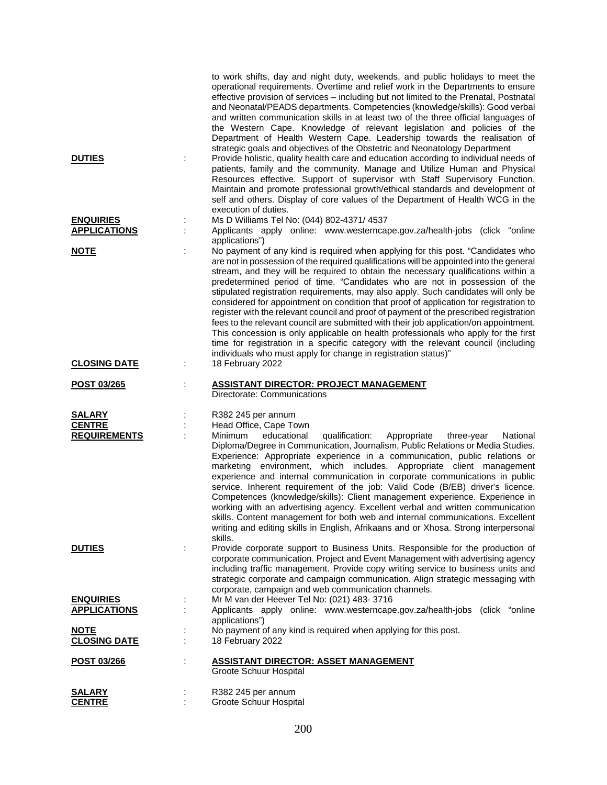|                                      |   | to work shifts, day and night duty, weekends, and public holidays to meet the<br>operational requirements. Overtime and relief work in the Departments to ensure<br>effective provision of services - including but not limited to the Prenatal, Postnatal<br>and Neonatal/PEADS departments. Competencies (knowledge/skills): Good verbal<br>and written communication skills in at least two of the three official languages of<br>the Western Cape. Knowledge of relevant legislation and policies of the<br>Department of Health Western Cape. Leadership towards the realisation of<br>strategic goals and objectives of the Obstetric and Neonatology Department                                                                                                                                                                                                                                                                                       |
|--------------------------------------|---|--------------------------------------------------------------------------------------------------------------------------------------------------------------------------------------------------------------------------------------------------------------------------------------------------------------------------------------------------------------------------------------------------------------------------------------------------------------------------------------------------------------------------------------------------------------------------------------------------------------------------------------------------------------------------------------------------------------------------------------------------------------------------------------------------------------------------------------------------------------------------------------------------------------------------------------------------------------|
| <b>DUTIES</b>                        |   | Provide holistic, quality health care and education according to individual needs of<br>patients, family and the community. Manage and Utilize Human and Physical<br>Resources effective. Support of supervisor with Staff Supervisory Function.<br>Maintain and promote professional growth/ethical standards and development of<br>self and others. Display of core values of the Department of Health WCG in the<br>execution of duties.                                                                                                                                                                                                                                                                                                                                                                                                                                                                                                                  |
| <b>ENQUIRIES</b>                     |   | Ms D Williams Tel No: (044) 802-4371/ 4537                                                                                                                                                                                                                                                                                                                                                                                                                                                                                                                                                                                                                                                                                                                                                                                                                                                                                                                   |
| <b>APPLICATIONS</b>                  |   | Applicants apply online: www.westerncape.gov.za/health-jobs (click "online                                                                                                                                                                                                                                                                                                                                                                                                                                                                                                                                                                                                                                                                                                                                                                                                                                                                                   |
|                                      |   | applications")                                                                                                                                                                                                                                                                                                                                                                                                                                                                                                                                                                                                                                                                                                                                                                                                                                                                                                                                               |
| <b>NOTE</b>                          |   | No payment of any kind is required when applying for this post. "Candidates who<br>are not in possession of the required qualifications will be appointed into the general<br>stream, and they will be required to obtain the necessary qualifications within a<br>predetermined period of time. "Candidates who are not in possession of the<br>stipulated registration requirements, may also apply. Such candidates will only be<br>considered for appointment on condition that proof of application for registration to<br>register with the relevant council and proof of payment of the prescribed registration<br>fees to the relevant council are submitted with their job application/on appointment.<br>This concession is only applicable on health professionals who apply for the first<br>time for registration in a specific category with the relevant council (including<br>individuals who must apply for change in registration status)" |
| <b>CLOSING DATE</b>                  | ÷ | 18 February 2022                                                                                                                                                                                                                                                                                                                                                                                                                                                                                                                                                                                                                                                                                                                                                                                                                                                                                                                                             |
| POST 03/265                          |   | <b>ASSISTANT DIRECTOR: PROJECT MANAGEMENT</b><br>Directorate: Communications                                                                                                                                                                                                                                                                                                                                                                                                                                                                                                                                                                                                                                                                                                                                                                                                                                                                                 |
|                                      |   |                                                                                                                                                                                                                                                                                                                                                                                                                                                                                                                                                                                                                                                                                                                                                                                                                                                                                                                                                              |
|                                      |   |                                                                                                                                                                                                                                                                                                                                                                                                                                                                                                                                                                                                                                                                                                                                                                                                                                                                                                                                                              |
| <b>SALARY</b>                        |   | R382 245 per annum                                                                                                                                                                                                                                                                                                                                                                                                                                                                                                                                                                                                                                                                                                                                                                                                                                                                                                                                           |
| <b>CENTRE</b><br><b>REQUIREMENTS</b> |   | Head Office, Cape Town<br><b>Minimum</b><br>educational<br>qualification:<br>Appropriate<br>three-year<br>National<br>Diploma/Degree in Communication, Journalism, Public Relations or Media Studies.<br>Experience: Appropriate experience in a communication, public relations or<br>marketing environment, which includes. Appropriate client management<br>experience and internal communication in corporate communications in public<br>service. Inherent requirement of the job: Valid Code (B/EB) driver's licence.<br>Competences (knowledge/skills): Client management experience. Experience in<br>working with an advertising agency. Excellent verbal and written communication<br>skills. Content management for both web and internal communications. Excellent<br>writing and editing skills in English, Afrikaans and or Xhosa. Strong interpersonal<br>skills.                                                                             |
| <b>DUTIES</b>                        |   | Provide corporate support to Business Units. Responsible for the production of<br>corporate communication. Project and Event Management with advertising agency<br>including traffic management. Provide copy writing service to business units and<br>strategic corporate and campaign communication. Align strategic messaging with<br>corporate, campaign and web communication channels.                                                                                                                                                                                                                                                                                                                                                                                                                                                                                                                                                                 |
| <b>ENQUIRIES</b>                     |   | Mr M van der Heever Tel No: (021) 483- 3716                                                                                                                                                                                                                                                                                                                                                                                                                                                                                                                                                                                                                                                                                                                                                                                                                                                                                                                  |
| <b>APPLICATIONS</b>                  |   | Applicants apply online: www.westerncape.gov.za/health-jobs (click "online                                                                                                                                                                                                                                                                                                                                                                                                                                                                                                                                                                                                                                                                                                                                                                                                                                                                                   |
|                                      |   | applications")                                                                                                                                                                                                                                                                                                                                                                                                                                                                                                                                                                                                                                                                                                                                                                                                                                                                                                                                               |
| <b>NOTE</b>                          |   |                                                                                                                                                                                                                                                                                                                                                                                                                                                                                                                                                                                                                                                                                                                                                                                                                                                                                                                                                              |
| <b>CLOSING DATE</b>                  |   | No payment of any kind is required when applying for this post.<br>18 February 2022                                                                                                                                                                                                                                                                                                                                                                                                                                                                                                                                                                                                                                                                                                                                                                                                                                                                          |
| POST 03/266                          |   | <b>ASSISTANT DIRECTOR: ASSET MANAGEMENT</b><br>Groote Schuur Hospital                                                                                                                                                                                                                                                                                                                                                                                                                                                                                                                                                                                                                                                                                                                                                                                                                                                                                        |
| <b>SALARY</b>                        |   | R382 245 per annum                                                                                                                                                                                                                                                                                                                                                                                                                                                                                                                                                                                                                                                                                                                                                                                                                                                                                                                                           |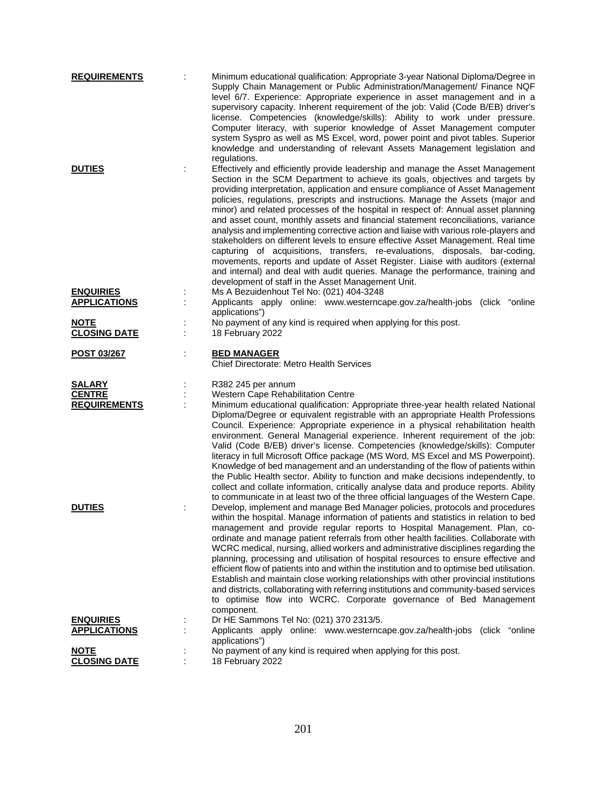| <b>REQUIREMENTS</b> | Minimum educational qualification: Appropriate 3-year National Diploma/Degree in<br>Supply Chain Management or Public Administration/Management/ Finance NQF<br>level 6/7. Experience: Appropriate experience in asset management and in a<br>supervisory capacity. Inherent requirement of the job: Valid (Code B/EB) driver's<br>license. Competencies (knowledge/skills): Ability to work under pressure.<br>Computer literacy, with superior knowledge of Asset Management computer<br>system Syspro as well as MS Excel, word, power point and pivot tables. Superior<br>knowledge and understanding of relevant Assets Management legislation and                                                                                                                                                                                                                                                                                                                                                                  |
|---------------------|--------------------------------------------------------------------------------------------------------------------------------------------------------------------------------------------------------------------------------------------------------------------------------------------------------------------------------------------------------------------------------------------------------------------------------------------------------------------------------------------------------------------------------------------------------------------------------------------------------------------------------------------------------------------------------------------------------------------------------------------------------------------------------------------------------------------------------------------------------------------------------------------------------------------------------------------------------------------------------------------------------------------------|
| <b>DUTIES</b>       | regulations.<br>Effectively and efficiently provide leadership and manage the Asset Management<br>Section in the SCM Department to achieve its goals, objectives and targets by<br>providing interpretation, application and ensure compliance of Asset Management<br>policies, regulations, prescripts and instructions. Manage the Assets (major and<br>minor) and related processes of the hospital in respect of: Annual asset planning<br>and asset count, monthly assets and financial statement reconciliations, variance<br>analysis and implementing corrective action and liaise with various role-players and<br>stakeholders on different levels to ensure effective Asset Management. Real time<br>capturing of acquisitions, transfers, re-evaluations, disposals, bar-coding,<br>movements, reports and update of Asset Register. Liaise with auditors (external<br>and internal) and deal with audit queries. Manage the performance, training and<br>development of staff in the Asset Management Unit. |
| <b>ENQUIRIES</b>    | Ms A Bezuidenhout Tel No: (021) 404-3248                                                                                                                                                                                                                                                                                                                                                                                                                                                                                                                                                                                                                                                                                                                                                                                                                                                                                                                                                                                 |
| <b>APPLICATIONS</b> | Applicants apply online: www.westerncape.gov.za/health-jobs (click "online                                                                                                                                                                                                                                                                                                                                                                                                                                                                                                                                                                                                                                                                                                                                                                                                                                                                                                                                               |
| <b>NOTE</b>         | applications")<br>No payment of any kind is required when applying for this post.                                                                                                                                                                                                                                                                                                                                                                                                                                                                                                                                                                                                                                                                                                                                                                                                                                                                                                                                        |
| <b>CLOSING DATE</b> | 18 February 2022                                                                                                                                                                                                                                                                                                                                                                                                                                                                                                                                                                                                                                                                                                                                                                                                                                                                                                                                                                                                         |
| <b>POST 03/267</b>  | <b>BED MANAGER</b><br><b>Chief Directorate: Metro Health Services</b>                                                                                                                                                                                                                                                                                                                                                                                                                                                                                                                                                                                                                                                                                                                                                                                                                                                                                                                                                    |
| <b>SALARY</b>       | R382 245 per annum                                                                                                                                                                                                                                                                                                                                                                                                                                                                                                                                                                                                                                                                                                                                                                                                                                                                                                                                                                                                       |
| <b>CENTRE</b>       | Western Cape Rehabilitation Centre                                                                                                                                                                                                                                                                                                                                                                                                                                                                                                                                                                                                                                                                                                                                                                                                                                                                                                                                                                                       |
| <b>REQUIREMENTS</b> | Minimum educational qualification: Appropriate three-year health related National<br>Diploma/Degree or equivalent registrable with an appropriate Health Professions<br>Council. Experience: Appropriate experience in a physical rehabilitation health<br>environment. General Managerial experience. Inherent requirement of the job:<br>Valid (Code B/EB) driver's license. Competencies (knowledge/skills): Computer<br>literacy in full Microsoft Office package (MS Word, MS Excel and MS Powerpoint).<br>Knowledge of bed management and an understanding of the flow of patients within<br>the Public Health sector. Ability to function and make decisions independently, to<br>collect and collate information, critically analyse data and produce reports. Ability<br>to communicate in at least two of the three official languages of the Western Cape.                                                                                                                                                    |
| <b>DUTIES</b>       | Develop, implement and manage Bed Manager policies, protocols and procedures<br>within the hospital. Manage information of patients and statistics in relation to bed<br>management and provide regular reports to Hospital Management. Plan, co-<br>ordinate and manage patient referrals from other health facilities. Collaborate with<br>WCRC medical, nursing, allied workers and administrative disciplines regarding the<br>planning, processing and utilisation of hospital resources to ensure effective and<br>efficient flow of patients into and within the institution and to optimise bed utilisation.<br>Establish and maintain close working relationships with other provincial institutions<br>and districts, collaborating with referring institutions and community-based services<br>to optimise flow into WCRC. Corporate governance of Bed Management<br>component.                                                                                                                               |
| <b>ENQUIRIES</b>    | Dr HE Sammons Tel No: (021) 370 2313/5.                                                                                                                                                                                                                                                                                                                                                                                                                                                                                                                                                                                                                                                                                                                                                                                                                                                                                                                                                                                  |
| <b>APPLICATIONS</b> | Applicants apply online: www.westerncape.gov.za/health-jobs (click "online<br>applications")                                                                                                                                                                                                                                                                                                                                                                                                                                                                                                                                                                                                                                                                                                                                                                                                                                                                                                                             |
| <b>NOTE</b>         | No payment of any kind is required when applying for this post.                                                                                                                                                                                                                                                                                                                                                                                                                                                                                                                                                                                                                                                                                                                                                                                                                                                                                                                                                          |
| <b>CLOSING DATE</b> | 18 February 2022                                                                                                                                                                                                                                                                                                                                                                                                                                                                                                                                                                                                                                                                                                                                                                                                                                                                                                                                                                                                         |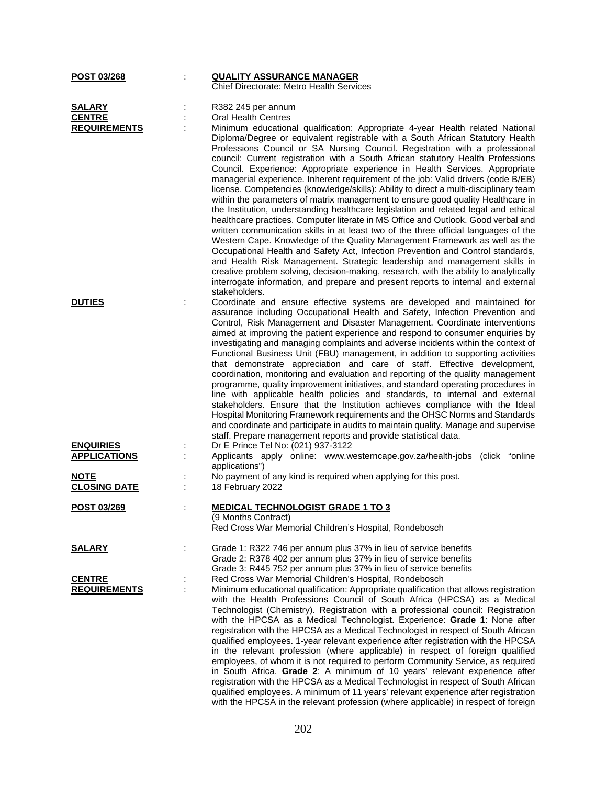| POST 03/268                                           |   | <b>QUALITY ASSURANCE MANAGER</b><br><b>Chief Directorate: Metro Health Services</b>                                                                                                                                                                                                                                                                                                                                                                                                                                                                                                                                                                                                                                                                                                                                                                                                                                                                                                                                                                                                                                                                                                                                                                                                                                                                                                                                                                   |
|-------------------------------------------------------|---|-------------------------------------------------------------------------------------------------------------------------------------------------------------------------------------------------------------------------------------------------------------------------------------------------------------------------------------------------------------------------------------------------------------------------------------------------------------------------------------------------------------------------------------------------------------------------------------------------------------------------------------------------------------------------------------------------------------------------------------------------------------------------------------------------------------------------------------------------------------------------------------------------------------------------------------------------------------------------------------------------------------------------------------------------------------------------------------------------------------------------------------------------------------------------------------------------------------------------------------------------------------------------------------------------------------------------------------------------------------------------------------------------------------------------------------------------------|
| <b>SALARY</b><br><b>CENTRE</b><br><b>REQUIREMENTS</b> |   | R382 245 per annum<br><b>Oral Health Centres</b><br>Minimum educational qualification: Appropriate 4-year Health related National<br>Diploma/Degree or equivalent registrable with a South African Statutory Health<br>Professions Council or SA Nursing Council. Registration with a professional<br>council: Current registration with a South African statutory Health Professions<br>Council. Experience: Appropriate experience in Health Services. Appropriate<br>managerial experience. Inherent requirement of the job: Valid drivers (code B/EB)<br>license. Competencies (knowledge/skills): Ability to direct a multi-disciplinary team<br>within the parameters of matrix management to ensure good quality Healthcare in<br>the Institution, understanding healthcare legislation and related legal and ethical<br>healthcare practices. Computer literate in MS Office and Outlook. Good verbal and<br>written communication skills in at least two of the three official languages of the<br>Western Cape. Knowledge of the Quality Management Framework as well as the<br>Occupational Health and Safety Act, Infection Prevention and Control standards,<br>and Health Risk Management. Strategic leadership and management skills in<br>creative problem solving, decision-making, research, with the ability to analytically<br>interrogate information, and prepare and present reports to internal and external<br>stakeholders. |
| <b>DUTIES</b>                                         |   | Coordinate and ensure effective systems are developed and maintained for<br>assurance including Occupational Health and Safety, Infection Prevention and<br>Control, Risk Management and Disaster Management. Coordinate interventions<br>aimed at improving the patient experience and respond to consumer enquiries by<br>investigating and managing complaints and adverse incidents within the context of<br>Functional Business Unit (FBU) management, in addition to supporting activities<br>that demonstrate appreciation and care of staff. Effective development,<br>coordination, monitoring and evaluation and reporting of the quality management<br>programme, quality improvement initiatives, and standard operating procedures in<br>line with applicable health policies and standards, to internal and external<br>stakeholders. Ensure that the Institution achieves compliance with the Ideal<br>Hospital Monitoring Framework requirements and the OHSC Norms and Standards<br>and coordinate and participate in audits to maintain quality. Manage and supervise<br>staff. Prepare management reports and provide statistical data.                                                                                                                                                                                                                                                                                            |
| <b>ENQUIRIES</b><br><b>APPLICATIONS</b>               |   | Dr E Prince Tel No: (021) 937-3122<br>Applicants apply online: www.westerncape.gov.za/health-jobs (click "online<br>applications")                                                                                                                                                                                                                                                                                                                                                                                                                                                                                                                                                                                                                                                                                                                                                                                                                                                                                                                                                                                                                                                                                                                                                                                                                                                                                                                    |
| <b>NOTE</b><br><b>CLOSING DATE</b>                    |   | No payment of any kind is required when applying for this post.<br>18 February 2022                                                                                                                                                                                                                                                                                                                                                                                                                                                                                                                                                                                                                                                                                                                                                                                                                                                                                                                                                                                                                                                                                                                                                                                                                                                                                                                                                                   |
| POST 03/269                                           |   | <b>MEDICAL TECHNOLOGIST GRADE 1 TO 3</b><br>(9 Months Contract)<br>Red Cross War Memorial Children's Hospital, Rondebosch                                                                                                                                                                                                                                                                                                                                                                                                                                                                                                                                                                                                                                                                                                                                                                                                                                                                                                                                                                                                                                                                                                                                                                                                                                                                                                                             |
| <b>SALARY</b>                                         |   | Grade 1: R322 746 per annum plus 37% in lieu of service benefits<br>Grade 2: R378 402 per annum plus 37% in lieu of service benefits<br>Grade 3: R445 752 per annum plus 37% in lieu of service benefits                                                                                                                                                                                                                                                                                                                                                                                                                                                                                                                                                                                                                                                                                                                                                                                                                                                                                                                                                                                                                                                                                                                                                                                                                                              |
| <b>CENTRE</b><br><b>REQUIREMENTS</b>                  | ċ | Red Cross War Memorial Children's Hospital, Rondebosch<br>Minimum educational qualification: Appropriate qualification that allows registration<br>with the Health Professions Council of South Africa (HPCSA) as a Medical<br>Technologist (Chemistry). Registration with a professional council: Registration<br>with the HPCSA as a Medical Technologist. Experience: Grade 1: None after<br>registration with the HPCSA as a Medical Technologist in respect of South African<br>qualified employees. 1-year relevant experience after registration with the HPCSA<br>in the relevant profession (where applicable) in respect of foreign qualified<br>employees, of whom it is not required to perform Community Service, as required<br>in South Africa. Grade 2: A minimum of 10 years' relevant experience after<br>registration with the HPCSA as a Medical Technologist in respect of South African<br>qualified employees. A minimum of 11 years' relevant experience after registration<br>with the HPCSA in the relevant profession (where applicable) in respect of foreign                                                                                                                                                                                                                                                                                                                                                             |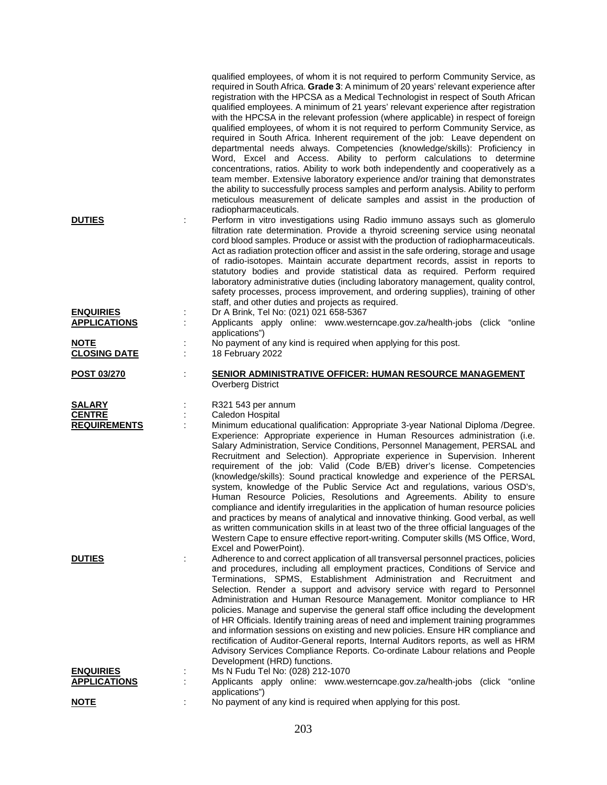|                     | qualified employees, of whom it is not required to perform Community Service, as<br>required in South Africa. Grade 3: A minimum of 20 years' relevant experience after<br>registration with the HPCSA as a Medical Technologist in respect of South African<br>qualified employees. A minimum of 21 years' relevant experience after registration<br>with the HPCSA in the relevant profession (where applicable) in respect of foreign<br>qualified employees, of whom it is not required to perform Community Service, as<br>required in South Africa. Inherent requirement of the job: Leave dependent on<br>departmental needs always. Competencies (knowledge/skills): Proficiency in<br>Word, Excel and Access. Ability to perform calculations to determine<br>concentrations, ratios. Ability to work both independently and cooperatively as a<br>team member. Extensive laboratory experience and/or training that demonstrates<br>the ability to successfully process samples and perform analysis. Ability to perform<br>meticulous measurement of delicate samples and assist in the production of |
|---------------------|------------------------------------------------------------------------------------------------------------------------------------------------------------------------------------------------------------------------------------------------------------------------------------------------------------------------------------------------------------------------------------------------------------------------------------------------------------------------------------------------------------------------------------------------------------------------------------------------------------------------------------------------------------------------------------------------------------------------------------------------------------------------------------------------------------------------------------------------------------------------------------------------------------------------------------------------------------------------------------------------------------------------------------------------------------------------------------------------------------------|
| <b>DUTIES</b>       | radiopharmaceuticals.<br>Perform in vitro investigations using Radio immuno assays such as glomerulo<br>filtration rate determination. Provide a thyroid screening service using neonatal<br>cord blood samples. Produce or assist with the production of radiopharmaceuticals.<br>Act as radiation protection officer and assist in the safe ordering, storage and usage<br>of radio-isotopes. Maintain accurate department records, assist in reports to<br>statutory bodies and provide statistical data as required. Perform required<br>laboratory administrative duties (including laboratory management, quality control,<br>safety processes, process improvement, and ordering supplies), training of other<br>staff, and other duties and projects as required.                                                                                                                                                                                                                                                                                                                                        |
| <b>ENQUIRIES</b>    | Dr A Brink, Tel No: (021) 021 658-5367                                                                                                                                                                                                                                                                                                                                                                                                                                                                                                                                                                                                                                                                                                                                                                                                                                                                                                                                                                                                                                                                           |
| <b>APPLICATIONS</b> | Applicants apply online: www.westerncape.gov.za/health-jobs (click "online<br>applications")                                                                                                                                                                                                                                                                                                                                                                                                                                                                                                                                                                                                                                                                                                                                                                                                                                                                                                                                                                                                                     |
| <b>NOTE</b>         | No payment of any kind is required when applying for this post.                                                                                                                                                                                                                                                                                                                                                                                                                                                                                                                                                                                                                                                                                                                                                                                                                                                                                                                                                                                                                                                  |
| <b>CLOSING DATE</b> | 18 February 2022                                                                                                                                                                                                                                                                                                                                                                                                                                                                                                                                                                                                                                                                                                                                                                                                                                                                                                                                                                                                                                                                                                 |
| <b>POST 03/270</b>  | <b>SENIOR ADMINISTRATIVE OFFICER: HUMAN RESOURCE MANAGEMENT</b><br><b>Overberg District</b>                                                                                                                                                                                                                                                                                                                                                                                                                                                                                                                                                                                                                                                                                                                                                                                                                                                                                                                                                                                                                      |
| SALARY              | R321 543 per annum                                                                                                                                                                                                                                                                                                                                                                                                                                                                                                                                                                                                                                                                                                                                                                                                                                                                                                                                                                                                                                                                                               |
| <b>CENTRE</b>       | Caledon Hospital                                                                                                                                                                                                                                                                                                                                                                                                                                                                                                                                                                                                                                                                                                                                                                                                                                                                                                                                                                                                                                                                                                 |
|                     |                                                                                                                                                                                                                                                                                                                                                                                                                                                                                                                                                                                                                                                                                                                                                                                                                                                                                                                                                                                                                                                                                                                  |
| <b>REQUIREMENTS</b> | Minimum educational qualification: Appropriate 3-year National Diploma /Degree.<br>Experience: Appropriate experience in Human Resources administration (i.e.<br>Salary Administration, Service Conditions, Personnel Management, PERSAL and<br>Recruitment and Selection). Appropriate experience in Supervision. Inherent<br>requirement of the job: Valid (Code B/EB) driver's license. Competencies<br>(knowledge/skills): Sound practical knowledge and experience of the PERSAL<br>system, knowledge of the Public Service Act and regulations, various OSD's,<br>Human Resource Policies, Resolutions and Agreements. Ability to ensure<br>compliance and identify irregularities in the application of human resource policies<br>and practices by means of analytical and innovative thinking. Good verbal, as well<br>as written communication skills in at least two of the three official languages of the<br>Western Cape to ensure effective report-writing. Computer skills (MS Office, Word,<br>Excel and PowerPoint).                                                                           |
| <b>DUTIES</b>       | Adherence to and correct application of all transversal personnel practices, policies<br>and procedures, including all employment practices, Conditions of Service and<br>Terminations, SPMS, Establishment Administration and Recruitment and<br>Selection. Render a support and advisory service with regard to Personnel<br>Administration and Human Resource Management. Monitor compliance to HR<br>policies. Manage and supervise the general staff office including the development<br>of HR Officials. Identify training areas of need and implement training programmes<br>and information sessions on existing and new policies. Ensure HR compliance and<br>rectification of Auditor-General reports, Internal Auditors reports, as well as HRM<br>Advisory Services Compliance Reports. Co-ordinate Labour relations and People<br>Development (HRD) functions.                                                                                                                                                                                                                                      |
| <b>ENQUIRIES</b>    | Ms N Fudu Tel No: (028) 212-1070                                                                                                                                                                                                                                                                                                                                                                                                                                                                                                                                                                                                                                                                                                                                                                                                                                                                                                                                                                                                                                                                                 |
| <b>APPLICATIONS</b> | Applicants apply online: www.westerncape.gov.za/health-jobs (click "online<br>applications")                                                                                                                                                                                                                                                                                                                                                                                                                                                                                                                                                                                                                                                                                                                                                                                                                                                                                                                                                                                                                     |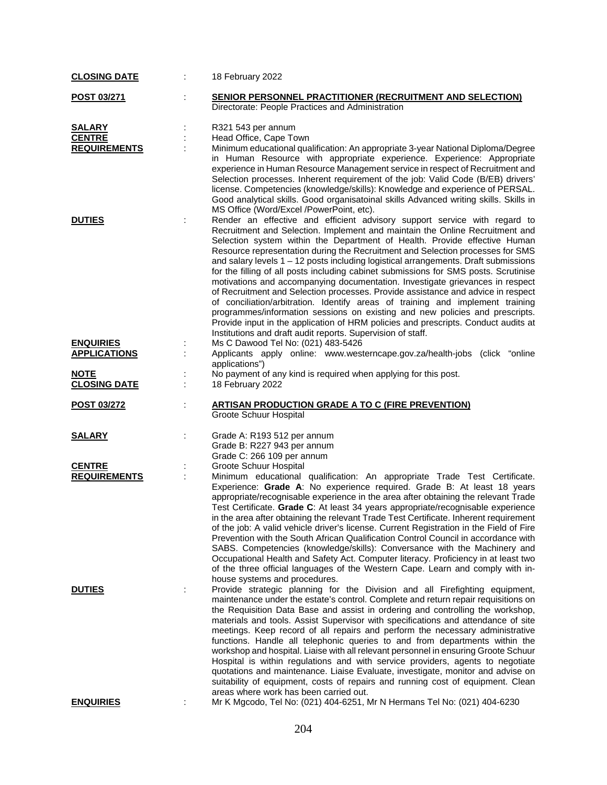| <b>CLOSING DATE</b>                     |   | 18 February 2022                                                                                                                                                                                                                                                                                                                                                                                                                                                                                                                                                                                                                                                                                                                                                                                                                                                                                                                                                                                      |
|-----------------------------------------|---|-------------------------------------------------------------------------------------------------------------------------------------------------------------------------------------------------------------------------------------------------------------------------------------------------------------------------------------------------------------------------------------------------------------------------------------------------------------------------------------------------------------------------------------------------------------------------------------------------------------------------------------------------------------------------------------------------------------------------------------------------------------------------------------------------------------------------------------------------------------------------------------------------------------------------------------------------------------------------------------------------------|
| <b>POST 03/271</b>                      |   | <b>SENIOR PERSONNEL PRACTITIONER (RECRUITMENT AND SELECTION)</b><br>Directorate: People Practices and Administration                                                                                                                                                                                                                                                                                                                                                                                                                                                                                                                                                                                                                                                                                                                                                                                                                                                                                  |
| <b>SALARY</b>                           |   | R321 543 per annum                                                                                                                                                                                                                                                                                                                                                                                                                                                                                                                                                                                                                                                                                                                                                                                                                                                                                                                                                                                    |
| <b>CENTRE</b>                           |   | Head Office, Cape Town                                                                                                                                                                                                                                                                                                                                                                                                                                                                                                                                                                                                                                                                                                                                                                                                                                                                                                                                                                                |
| <b>REQUIREMENTS</b>                     |   | Minimum educational qualification: An appropriate 3-year National Diploma/Degree<br>in Human Resource with appropriate experience. Experience: Appropriate<br>experience in Human Resource Management service in respect of Recruitment and<br>Selection processes. Inherent requirement of the job: Valid Code (B/EB) drivers'<br>license. Competencies (knowledge/skills): Knowledge and experience of PERSAL.<br>Good analytical skills. Good organisatoinal skills Advanced writing skills. Skills in<br>MS Office (Word/Excel /PowerPoint, etc).                                                                                                                                                                                                                                                                                                                                                                                                                                                 |
| <b>DUTIES</b>                           |   | Render an effective and efficient advisory support service with regard to<br>Recruitment and Selection. Implement and maintain the Online Recruitment and<br>Selection system within the Department of Health. Provide effective Human<br>Resource representation during the Recruitment and Selection processes for SMS<br>and salary levels $1 - 12$ posts including logistical arrangements. Draft submissions<br>for the filling of all posts including cabinet submissions for SMS posts. Scrutinise<br>motivations and accompanying documentation. Investigate grievances in respect<br>of Recruitment and Selection processes. Provide assistance and advice in respect<br>of conciliation/arbitration. Identify areas of training and implement training<br>programmes/information sessions on existing and new policies and prescripts.<br>Provide input in the application of HRM policies and prescripts. Conduct audits at<br>Institutions and draft audit reports. Supervision of staff. |
| <b>ENQUIRIES</b><br><b>APPLICATIONS</b> |   | Ms C Dawood Tel No: (021) 483-5426<br>Applicants apply online: www.westerncape.gov.za/health-jobs (click "online                                                                                                                                                                                                                                                                                                                                                                                                                                                                                                                                                                                                                                                                                                                                                                                                                                                                                      |
| <b>NOTE</b><br><b>CLOSING DATE</b>      |   | applications")<br>No payment of any kind is required when applying for this post.<br>18 February 2022                                                                                                                                                                                                                                                                                                                                                                                                                                                                                                                                                                                                                                                                                                                                                                                                                                                                                                 |
| <u>POST 03/272</u>                      |   | <b>ARTISAN PRODUCTION GRADE A TO C (FIRE PREVENTION)</b><br>Groote Schuur Hospital                                                                                                                                                                                                                                                                                                                                                                                                                                                                                                                                                                                                                                                                                                                                                                                                                                                                                                                    |
| <b>SALARY</b>                           |   | Grade A: R193 512 per annum<br>Grade B: R227 943 per annum<br>Grade C: 266 109 per annum                                                                                                                                                                                                                                                                                                                                                                                                                                                                                                                                                                                                                                                                                                                                                                                                                                                                                                              |
| <b>CENTRE</b>                           |   | Groote Schuur Hospital                                                                                                                                                                                                                                                                                                                                                                                                                                                                                                                                                                                                                                                                                                                                                                                                                                                                                                                                                                                |
| <b>REQUIREMENTS</b>                     |   | Minimum educational qualification: An appropriate Trade Test Certificate.<br>Experience: Grade A: No experience required. Grade B: At least 18 years<br>appropriate/recognisable experience in the area after obtaining the relevant Trade<br>Test Certificate. Grade C: At least 34 years appropriate/recognisable experience<br>in the area after obtaining the relevant Trade Test Certificate. Inherent requirement<br>of the job: A valid vehicle driver's license. Current Registration in the Field of Fire<br>Prevention with the South African Qualification Control Council in accordance with<br>SABS. Competencies (knowledge/skills): Conversance with the Machinery and<br>Occupational Health and Safety Act. Computer literacy. Proficiency in at least two<br>of the three official languages of the Western Cape. Learn and comply with in-<br>house systems and procedures.                                                                                                        |
| <b>DUTIES</b>                           | ÷ | Provide strategic planning for the Division and all Firefighting equipment,<br>maintenance under the estate's control. Complete and return repair requisitions on<br>the Requisition Data Base and assist in ordering and controlling the workshop,<br>materials and tools. Assist Supervisor with specifications and attendance of site<br>meetings. Keep record of all repairs and perform the necessary administrative<br>functions. Handle all telephonic queries to and from departments within the<br>workshop and hospital. Liaise with all relevant personnel in ensuring Groote Schuur<br>Hospital is within regulations and with service providers, agents to negotiate<br>quotations and maintenance. Liaise Evaluate, investigate, monitor and advise on<br>suitability of equipment, costs of repairs and running cost of equipment. Clean<br>areas where work has been carried out.                                                                                                     |
| <b>ENQUIRIES</b>                        | ÷ | Mr K Mgcodo, Tel No: (021) 404-6251, Mr N Hermans Tel No: (021) 404-6230                                                                                                                                                                                                                                                                                                                                                                                                                                                                                                                                                                                                                                                                                                                                                                                                                                                                                                                              |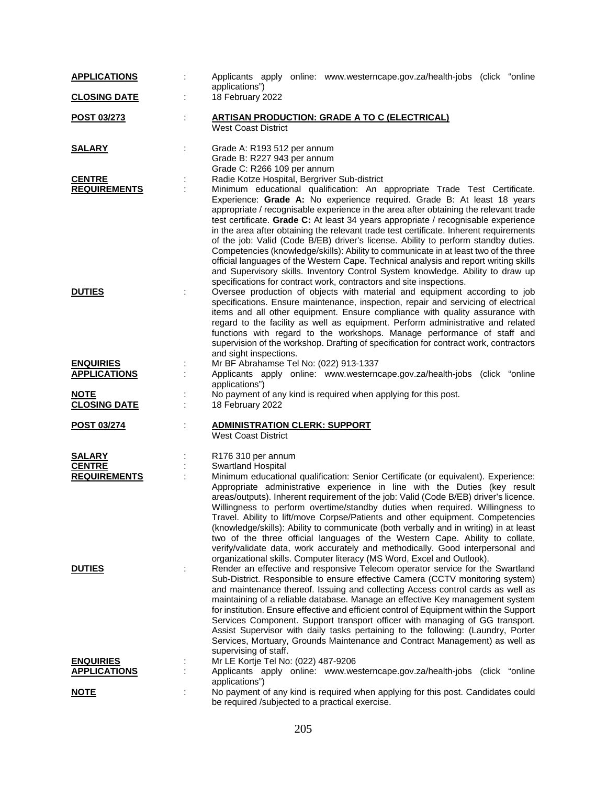| <b>APPLICATIONS</b>                     | Applicants apply online: www.westerncape.gov.za/health-jobs (click "online<br>applications")                                                                                                                                                                                                                                                                                                                                                                                                                                                                                                                                                                                                                                                                                                                                                                |
|-----------------------------------------|-------------------------------------------------------------------------------------------------------------------------------------------------------------------------------------------------------------------------------------------------------------------------------------------------------------------------------------------------------------------------------------------------------------------------------------------------------------------------------------------------------------------------------------------------------------------------------------------------------------------------------------------------------------------------------------------------------------------------------------------------------------------------------------------------------------------------------------------------------------|
| <b>CLOSING DATE</b>                     | 18 February 2022                                                                                                                                                                                                                                                                                                                                                                                                                                                                                                                                                                                                                                                                                                                                                                                                                                            |
| <u>POST 03/273</u>                      | <b>ARTISAN PRODUCTION: GRADE A TO C (ELECTRICAL)</b><br><b>West Coast District</b>                                                                                                                                                                                                                                                                                                                                                                                                                                                                                                                                                                                                                                                                                                                                                                          |
| <u>SALARY</u>                           | Grade A: R193 512 per annum<br>Grade B: R227 943 per annum<br>Grade C: R266 109 per annum                                                                                                                                                                                                                                                                                                                                                                                                                                                                                                                                                                                                                                                                                                                                                                   |
| <b>CENTRE</b>                           | Radie Kotze Hospital, Bergriver Sub-district                                                                                                                                                                                                                                                                                                                                                                                                                                                                                                                                                                                                                                                                                                                                                                                                                |
| <b>REQUIREMENTS</b>                     | Minimum educational qualification: An appropriate Trade Test Certificate.<br>Experience: Grade A: No experience required. Grade B: At least 18 years<br>appropriate / recognisable experience in the area after obtaining the relevant trade<br>test certificate. Grade C: At least 34 years appropriate / recognisable experience<br>in the area after obtaining the relevant trade test certificate. Inherent requirements<br>of the job: Valid (Code B/EB) driver's license. Ability to perform standby duties.<br>Competencies (knowledge/skills): Ability to communicate in at least two of the three<br>official languages of the Western Cape. Technical analysis and report writing skills<br>and Supervisory skills. Inventory Control System knowledge. Ability to draw up<br>specifications for contract work, contractors and site inspections. |
| <b>DUTIES</b>                           | Oversee production of objects with material and equipment according to job<br>specifications. Ensure maintenance, inspection, repair and servicing of electrical<br>items and all other equipment. Ensure compliance with quality assurance with<br>regard to the facility as well as equipment. Perform administrative and related<br>functions with regard to the workshops. Manage performance of staff and<br>supervision of the workshop. Drafting of specification for contract work, contractors<br>and sight inspections.                                                                                                                                                                                                                                                                                                                           |
| <b>ENQUIRIES</b>                        | Mr BF Abrahamse Tel No: (022) 913-1337                                                                                                                                                                                                                                                                                                                                                                                                                                                                                                                                                                                                                                                                                                                                                                                                                      |
| <b>APPLICATIONS</b>                     | Applicants apply online: www.westerncape.gov.za/health-jobs (click "online<br>applications")                                                                                                                                                                                                                                                                                                                                                                                                                                                                                                                                                                                                                                                                                                                                                                |
| <b>NOTE</b><br><b>CLOSING DATE</b>      | No payment of any kind is required when applying for this post.<br>18 February 2022                                                                                                                                                                                                                                                                                                                                                                                                                                                                                                                                                                                                                                                                                                                                                                         |
| POST 03/274                             | <b>ADMINISTRATION CLERK: SUPPORT</b><br>÷<br><b>West Coast District</b>                                                                                                                                                                                                                                                                                                                                                                                                                                                                                                                                                                                                                                                                                                                                                                                     |
| <b>SALARY</b>                           | R176 310 per annum                                                                                                                                                                                                                                                                                                                                                                                                                                                                                                                                                                                                                                                                                                                                                                                                                                          |
| <b>CENTRE</b>                           | Swartland Hospital                                                                                                                                                                                                                                                                                                                                                                                                                                                                                                                                                                                                                                                                                                                                                                                                                                          |
| <b>REQUIREMENTS</b>                     | Minimum educational qualification: Senior Certificate (or equivalent). Experience:<br>Appropriate administrative experience in line with the Duties (key result<br>areas/outputs). Inherent requirement of the job: Valid (Code B/EB) driver's licence.<br>Willingness to perform overtime/standby duties when required. Willingness to<br>Travel. Ability to lift/move Corpse/Patients and other equipment. Competencies<br>(knowledge/skills): Ability to communicate (both verbally and in writing) in at least<br>two of the three official languages of the Western Cape. Ability to collate,<br>verify/validate data, work accurately and methodically. Good interpersonal and<br>organizational skills. Computer literacy (MS Word, Excel and Outlook).                                                                                              |
| <b>DUTIES</b>                           | Render an effective and responsive Telecom operator service for the Swartland<br>Sub-District. Responsible to ensure effective Camera (CCTV monitoring system)<br>and maintenance thereof. Issuing and collecting Access control cards as well as<br>maintaining of a reliable database. Manage an effective Key management system<br>for institution. Ensure effective and efficient control of Equipment within the Support<br>Services Component. Support transport officer with managing of GG transport.<br>Assist Supervisor with daily tasks pertaining to the following: (Laundry, Porter<br>Services, Mortuary, Grounds Maintenance and Contract Management) as well as<br>supervising of staff.                                                                                                                                                   |
| <b>ENQUIRIES</b><br><b>APPLICATIONS</b> | Mr LE Kortje Tel No: (022) 487-9206<br>Applicants apply online: www.westerncape.gov.za/health-jobs (click "online                                                                                                                                                                                                                                                                                                                                                                                                                                                                                                                                                                                                                                                                                                                                           |
|                                         | applications")                                                                                                                                                                                                                                                                                                                                                                                                                                                                                                                                                                                                                                                                                                                                                                                                                                              |
| <b>NOTE</b>                             | No payment of any kind is required when applying for this post. Candidates could<br>be required /subjected to a practical exercise.                                                                                                                                                                                                                                                                                                                                                                                                                                                                                                                                                                                                                                                                                                                         |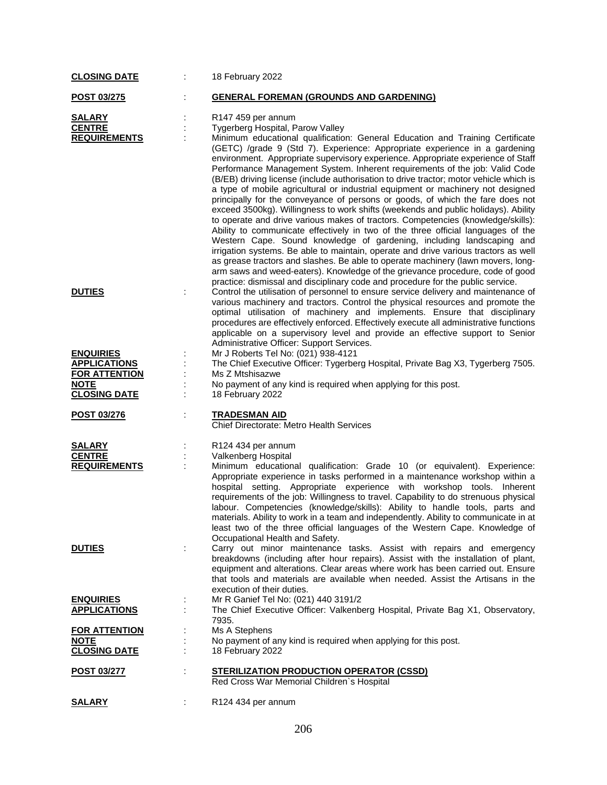| <b>CLOSING DATE</b>                | 18 February 2022                                                                                                                                                                                                                                                                                                                                                                                                                                                                                                                                                                                                                                                                                                                                                           |
|------------------------------------|----------------------------------------------------------------------------------------------------------------------------------------------------------------------------------------------------------------------------------------------------------------------------------------------------------------------------------------------------------------------------------------------------------------------------------------------------------------------------------------------------------------------------------------------------------------------------------------------------------------------------------------------------------------------------------------------------------------------------------------------------------------------------|
| <b>POST 03/275</b>                 | <b>GENERAL FOREMAN (GROUNDS AND GARDENING)</b>                                                                                                                                                                                                                                                                                                                                                                                                                                                                                                                                                                                                                                                                                                                             |
| <b>SALARY</b>                      | R <sub>147</sub> 459 per annum                                                                                                                                                                                                                                                                                                                                                                                                                                                                                                                                                                                                                                                                                                                                             |
| <b>CENTRE</b>                      | Tygerberg Hospital, Parow Valley                                                                                                                                                                                                                                                                                                                                                                                                                                                                                                                                                                                                                                                                                                                                           |
| <b>REQUIREMENTS</b>                | Minimum educational qualification: General Education and Training Certificate                                                                                                                                                                                                                                                                                                                                                                                                                                                                                                                                                                                                                                                                                              |
|                                    | (GETC) /grade 9 (Std 7). Experience: Appropriate experience in a gardening<br>environment. Appropriate supervisory experience. Appropriate experience of Staff<br>Performance Management System. Inherent requirements of the job: Valid Code<br>(B/EB) driving license (include authorisation to drive tractor; motor vehicle which is<br>a type of mobile agricultural or industrial equipment or machinery not designed<br>principally for the conveyance of persons or goods, of which the fare does not<br>exceed 3500kg). Willingness to work shifts (weekends and public holidays). Ability<br>to operate and drive various makes of tractors. Competencies (knowledge/skills):<br>Ability to communicate effectively in two of the three official languages of the |
|                                    | Western Cape. Sound knowledge of gardening, including landscaping and<br>irrigation systems. Be able to maintain, operate and drive various tractors as well<br>as grease tractors and slashes. Be able to operate machinery (lawn movers, long-<br>arm saws and weed-eaters). Knowledge of the grievance procedure, code of good<br>practice: dismissal and disciplinary code and procedure for the public service.                                                                                                                                                                                                                                                                                                                                                       |
| <b>DUTIES</b>                      | Control the utilisation of personnel to ensure service delivery and maintenance of<br>various machinery and tractors. Control the physical resources and promote the<br>optimal utilisation of machinery and implements. Ensure that disciplinary<br>procedures are effectively enforced. Effectively execute all administrative functions<br>applicable on a supervisory level and provide an effective support to Senior<br>Administrative Officer: Support Services.                                                                                                                                                                                                                                                                                                    |
| <b>ENQUIRIES</b>                   | Mr J Roberts Tel No: (021) 938-4121                                                                                                                                                                                                                                                                                                                                                                                                                                                                                                                                                                                                                                                                                                                                        |
| <b>APPLICATIONS</b>                | The Chief Executive Officer: Tygerberg Hospital, Private Bag X3, Tygerberg 7505.                                                                                                                                                                                                                                                                                                                                                                                                                                                                                                                                                                                                                                                                                           |
| <b>FOR ATTENTION</b>               | Ms Z Mtshisazwe                                                                                                                                                                                                                                                                                                                                                                                                                                                                                                                                                                                                                                                                                                                                                            |
| <b>NOTE</b>                        | No payment of any kind is required when applying for this post.                                                                                                                                                                                                                                                                                                                                                                                                                                                                                                                                                                                                                                                                                                            |
| <b>CLOSING DATE</b>                | 18 February 2022                                                                                                                                                                                                                                                                                                                                                                                                                                                                                                                                                                                                                                                                                                                                                           |
| POST 03/276                        | <b>TRADESMAN AID</b><br>Chief Directorate: Metro Health Services                                                                                                                                                                                                                                                                                                                                                                                                                                                                                                                                                                                                                                                                                                           |
| <b>SALARY</b>                      | R124 434 per annum                                                                                                                                                                                                                                                                                                                                                                                                                                                                                                                                                                                                                                                                                                                                                         |
| <b>CENTRE</b>                      | Valkenberg Hospital                                                                                                                                                                                                                                                                                                                                                                                                                                                                                                                                                                                                                                                                                                                                                        |
| <b>REQUIREMENTS</b>                | Minimum educational qualification: Grade 10 (or equivalent). Experience:                                                                                                                                                                                                                                                                                                                                                                                                                                                                                                                                                                                                                                                                                                   |
|                                    | Appropriate experience in tasks performed in a maintenance workshop within a<br>hospital setting. Appropriate experience with workshop tools. Inherent<br>requirements of the job: Willingness to travel. Capability to do strenuous physical<br>labour. Competencies (knowledge/skills): Ability to handle tools, parts and<br>materials. Ability to work in a team and independently. Ability to communicate in at<br>least two of the three official languages of the Western Cape. Knowledge of<br>Occupational Health and Safety.                                                                                                                                                                                                                                     |
| <b>DUTIES</b>                      | Carry out minor maintenance tasks. Assist with repairs and emergency<br>breakdowns (including after hour repairs). Assist with the installation of plant,<br>equipment and alterations. Clear areas where work has been carried out. Ensure<br>that tools and materials are available when needed. Assist the Artisans in the<br>execution of their duties.                                                                                                                                                                                                                                                                                                                                                                                                                |
| <b>ENQUIRIES</b>                   | Mr R Ganief Tel No: (021) 440 3191/2                                                                                                                                                                                                                                                                                                                                                                                                                                                                                                                                                                                                                                                                                                                                       |
| <b>APPLICATIONS</b>                | The Chief Executive Officer: Valkenberg Hospital, Private Bag X1, Observatory,                                                                                                                                                                                                                                                                                                                                                                                                                                                                                                                                                                                                                                                                                             |
|                                    | 7935.                                                                                                                                                                                                                                                                                                                                                                                                                                                                                                                                                                                                                                                                                                                                                                      |
| <b>FOR ATTENTION</b>               | Ms A Stephens                                                                                                                                                                                                                                                                                                                                                                                                                                                                                                                                                                                                                                                                                                                                                              |
| <b>NOTE</b><br><b>CLOSING DATE</b> | No payment of any kind is required when applying for this post.<br>18 February 2022                                                                                                                                                                                                                                                                                                                                                                                                                                                                                                                                                                                                                                                                                        |
|                                    |                                                                                                                                                                                                                                                                                                                                                                                                                                                                                                                                                                                                                                                                                                                                                                            |
| <u>POST 03/277</u>                 | <b>STERILIZATION PRODUCTION OPERATOR (CSSD)</b><br>Red Cross War Memorial Children's Hospital                                                                                                                                                                                                                                                                                                                                                                                                                                                                                                                                                                                                                                                                              |
| <b>SALARY</b>                      | R124 434 per annum                                                                                                                                                                                                                                                                                                                                                                                                                                                                                                                                                                                                                                                                                                                                                         |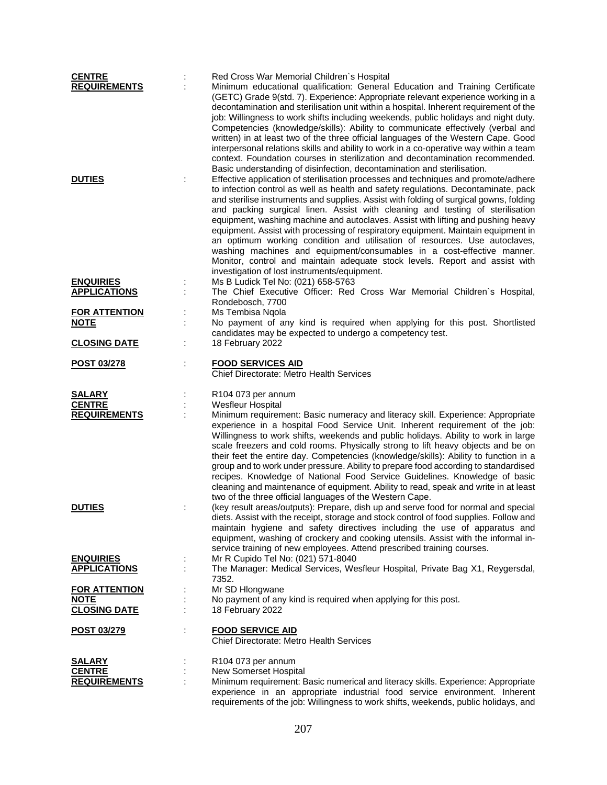| <b>CENTRE</b>        | Red Cross War Memorial Children's Hospital                                             |
|----------------------|----------------------------------------------------------------------------------------|
| <b>REQUIREMENTS</b>  | Minimum educational qualification: General Education and Training Certificate          |
|                      | (GETC) Grade 9(std. 7). Experience: Appropriate relevant experience working in a       |
|                      | decontamination and sterilisation unit within a hospital. Inherent requirement of the  |
|                      | job: Willingness to work shifts including weekends, public holidays and night duty.    |
|                      | Competencies (knowledge/skills): Ability to communicate effectively (verbal and        |
|                      | written) in at least two of the three official languages of the Western Cape. Good     |
|                      | interpersonal relations skills and ability to work in a co-operative way within a team |
|                      | context. Foundation courses in sterilization and decontamination recommended.          |
|                      | Basic understanding of disinfection, decontamination and sterilisation.                |
| <b>DUTIES</b>        | Effective application of sterilisation processes and techniques and promote/adhere     |
|                      | to infection control as well as health and safety regulations. Decontaminate, pack     |
|                      | and sterilise instruments and supplies. Assist with folding of surgical gowns, folding |
|                      | and packing surgical linen. Assist with cleaning and testing of sterilisation          |
|                      | equipment, washing machine and autoclaves. Assist with lifting and pushing heavy       |
|                      | equipment. Assist with processing of respiratory equipment. Maintain equipment in      |
|                      | an optimum working condition and utilisation of resources. Use autoclaves,             |
|                      | washing machines and equipment/consumables in a cost-effective manner.                 |
|                      | Monitor, control and maintain adequate stock levels. Report and assist with            |
|                      | investigation of lost instruments/equipment.                                           |
| <b>ENQUIRIES</b>     | Ms B Ludick Tel No: (021) 658-5763                                                     |
| <b>APPLICATIONS</b>  | The Chief Executive Officer: Red Cross War Memorial Children's Hospital,               |
|                      | Rondebosch, 7700                                                                       |
| <b>FOR ATTENTION</b> | Ms Tembisa Ngola                                                                       |
| <b>NOTE</b>          | No payment of any kind is required when applying for this post. Shortlisted            |
|                      | candidates may be expected to undergo a competency test.                               |
| <b>CLOSING DATE</b>  | 18 February 2022                                                                       |
|                      |                                                                                        |
| <b>POST 03/278</b>   | <b>FOOD SERVICES AID</b>                                                               |
|                      | <b>Chief Directorate: Metro Health Services</b>                                        |
|                      |                                                                                        |
| <b>SALARY</b>        | R104 073 per annum                                                                     |
| <b>CENTRE</b>        | <b>Wesfleur Hospital</b>                                                               |
| <b>REQUIREMENTS</b>  | Minimum requirement: Basic numeracy and literacy skill. Experience: Appropriate        |
|                      | experience in a hospital Food Service Unit. Inherent requirement of the job:           |
|                      | Willingness to work shifts, weekends and public holidays. Ability to work in large     |
|                      | scale freezers and cold rooms. Physically strong to lift heavy objects and be on       |
|                      | their feet the entire day. Competencies (knowledge/skills): Ability to function in a   |
|                      | group and to work under pressure. Ability to prepare food according to standardised    |
|                      | recipes. Knowledge of National Food Service Guidelines. Knowledge of basic             |
|                      | cleaning and maintenance of equipment. Ability to read, speak and write in at least    |
|                      | two of the three official languages of the Western Cape.                               |
| <b>DUTIES</b>        | (key result areas/outputs): Prepare, dish up and serve food for normal and special     |
|                      | diets. Assist with the receipt, storage and stock control of food supplies. Follow and |
|                      | maintain hygiene and safety directives including the use of apparatus and              |
|                      | equipment, washing of crockery and cooking utensils. Assist with the informal in-      |
|                      | service training of new employees. Attend prescribed training courses.                 |
| <b>ENQUIRIES</b>     | Mr R Cupido Tel No: (021) 571-8040                                                     |
| <b>APPLICATIONS</b>  | The Manager: Medical Services, Wesfleur Hospital, Private Bag X1, Reygersdal,          |
|                      | 7352.                                                                                  |
| <b>FOR ATTENTION</b> | Mr SD Hlongwane                                                                        |
| <b>NOTE</b>          | No payment of any kind is required when applying for this post.                        |
| <b>CLOSING DATE</b>  | 18 February 2022                                                                       |
|                      |                                                                                        |
| POST 03/279          | <b>FOOD SERVICE AID</b>                                                                |
|                      | <b>Chief Directorate: Metro Health Services</b>                                        |
| <b>SALARY</b>        | R104 073 per annum                                                                     |
| <b>CENTRE</b>        | New Somerset Hospital                                                                  |
| <b>REQUIREMENTS</b>  | Minimum requirement: Basic numerical and literacy skills. Experience: Appropriate      |
|                      | experience in an appropriate industrial food service environment. Inherent             |
|                      | requirements of the job: Willingness to work shifts, weekends, public holidays, and    |
|                      |                                                                                        |